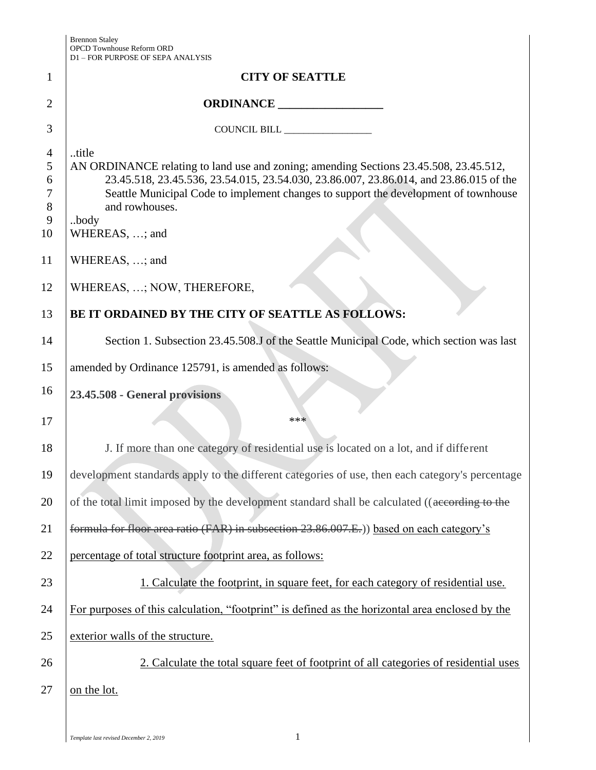|                                               | DI – FON FON OSE OF SEI A AINAL ISIS                                                                                                                                                                                                                                                                                        |
|-----------------------------------------------|-----------------------------------------------------------------------------------------------------------------------------------------------------------------------------------------------------------------------------------------------------------------------------------------------------------------------------|
| $\mathbf{1}$                                  | <b>CITY OF SEATTLE</b>                                                                                                                                                                                                                                                                                                      |
| $\overline{2}$                                | ORDINANCE                                                                                                                                                                                                                                                                                                                   |
| 3                                             | COUNCIL BILL ________________                                                                                                                                                                                                                                                                                               |
| $\overline{4}$<br>5<br>6<br>7<br>8<br>9<br>10 | title<br>AN ORDINANCE relating to land use and zoning; amending Sections 23.45.508, 23.45.512,<br>23.45.518, 23.45.536, 23.54.015, 23.54.030, 23.86.007, 23.86.014, and 23.86.015 of the<br>Seattle Municipal Code to implement changes to support the development of townhouse<br>and rowhouses.<br>body<br>WHEREAS, ; and |
| 11                                            | WHEREAS, ; and                                                                                                                                                                                                                                                                                                              |
| 12                                            | WHEREAS, ; NOW, THEREFORE,                                                                                                                                                                                                                                                                                                  |
| 13                                            | BE IT ORDAINED BY THE CITY OF SEATTLE AS FOLLOWS:                                                                                                                                                                                                                                                                           |
| 14                                            | Section 1. Subsection 23.45.508.J of the Seattle Municipal Code, which section was last                                                                                                                                                                                                                                     |
| 15                                            | amended by Ordinance 125791, is amended as follows:                                                                                                                                                                                                                                                                         |
| 16                                            | 23.45.508 - General provisions                                                                                                                                                                                                                                                                                              |
| 17                                            | ***                                                                                                                                                                                                                                                                                                                         |
| 18                                            | J. If more than one category of residential use is located on a lot, and if different                                                                                                                                                                                                                                       |
| 19                                            | development standards apply to the different categories of use, then each category's percentage                                                                                                                                                                                                                             |
| 20                                            | of the total limit imposed by the development standard shall be calculated ((according to the                                                                                                                                                                                                                               |
| 21                                            | formula for floor area ratio (FAR) in subsection 23.86.007.E.) based on each category's                                                                                                                                                                                                                                     |
| 22                                            | percentage of total structure footprint area, as follows:                                                                                                                                                                                                                                                                   |
| 23                                            | 1. Calculate the footprint, in square feet, for each category of residential use.                                                                                                                                                                                                                                           |
| 24                                            | For purposes of this calculation, "footprint" is defined as the horizontal area enclosed by the                                                                                                                                                                                                                             |
| 25                                            | exterior walls of the structure.                                                                                                                                                                                                                                                                                            |
| 26                                            | 2. Calculate the total square feet of footprint of all categories of residential uses                                                                                                                                                                                                                                       |
| 27                                            | on the lot.                                                                                                                                                                                                                                                                                                                 |
|                                               |                                                                                                                                                                                                                                                                                                                             |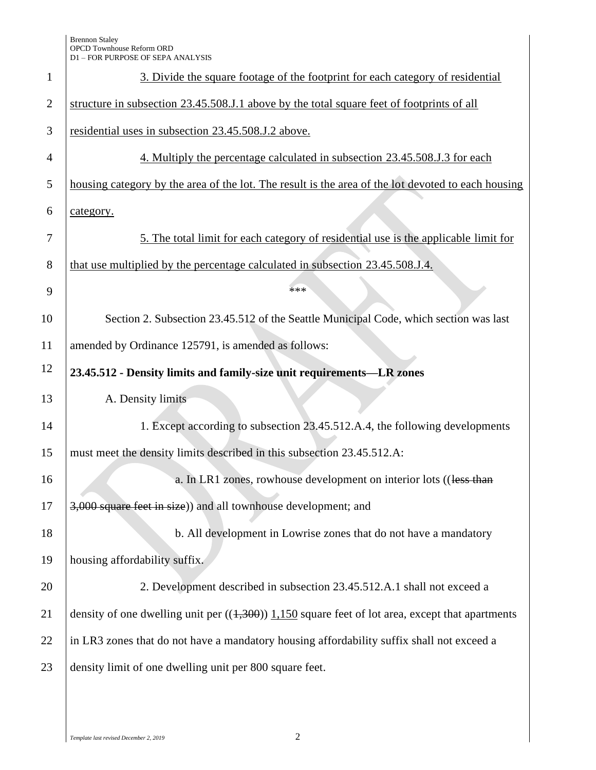| $\mathbf{1}$   | 3. Divide the square footage of the footprint for each category of residential                     |  |
|----------------|----------------------------------------------------------------------------------------------------|--|
| $\overline{2}$ | structure in subsection 23.45.508.J.1 above by the total square feet of footprints of all          |  |
| 3              | residential uses in subsection 23.45.508.J.2 above.                                                |  |
| $\overline{4}$ | 4. Multiply the percentage calculated in subsection 23.45.508.J.3 for each                         |  |
| 5              | housing category by the area of the lot. The result is the area of the lot devoted to each housing |  |
| 6              | category.                                                                                          |  |
| 7              | 5. The total limit for each category of residential use is the applicable limit for                |  |
| 8              | that use multiplied by the percentage calculated in subsection 23.45.508.J.4.                      |  |
| 9              | ***                                                                                                |  |
| 10             | Section 2. Subsection 23.45.512 of the Seattle Municipal Code, which section was last              |  |
| 11             | amended by Ordinance 125791, is amended as follows:                                                |  |
| 12             | 23.45.512 - Density limits and family-size unit requirements—LR zones                              |  |
| 13             | A. Density limits                                                                                  |  |
| 14             | 1. Except according to subsection 23.45.512.A.4, the following developments                        |  |
| 15             | must meet the density limits described in this subsection 23.45.512.A:                             |  |
| 16             | a. In LR1 zones, rowhouse development on interior lots ((less than                                 |  |
| 17             | 3,000 square feet in size)) and all townhouse development; and                                     |  |
| 18             | b. All development in Lowrise zones that do not have a mandatory                                   |  |
| 19             | housing affordability suffix.                                                                      |  |
| 20             | 2. Development described in subsection 23.45.512.A.1 shall not exceed a                            |  |
| 21             | density of one dwelling unit per $((1,300))$ 1,150 square feet of lot area, except that apartments |  |
| 22             | in LR3 zones that do not have a mandatory housing affordability suffix shall not exceed a          |  |
| 23             | density limit of one dwelling unit per 800 square feet.                                            |  |
|                |                                                                                                    |  |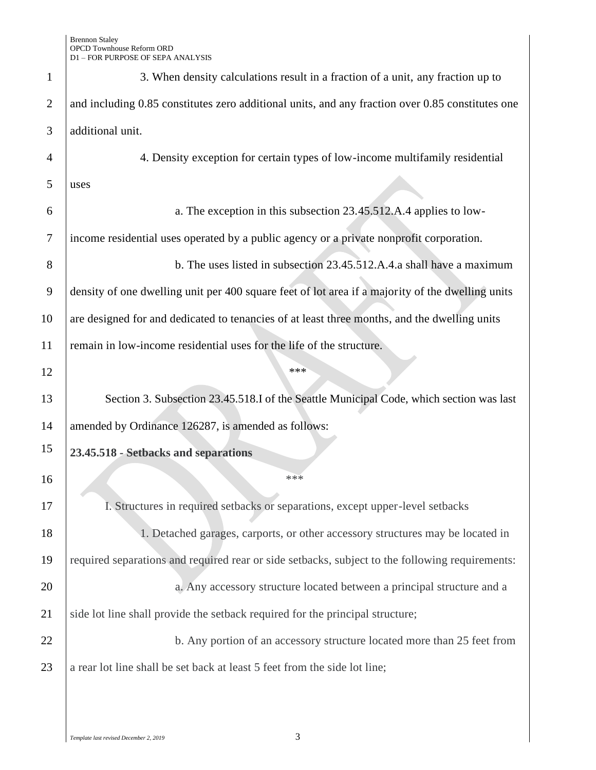| $\mathbf{1}$   | 3. When density calculations result in a fraction of a unit, any fraction up to                  |  |
|----------------|--------------------------------------------------------------------------------------------------|--|
| $\overline{2}$ | and including 0.85 constitutes zero additional units, and any fraction over 0.85 constitutes one |  |
| 3              | additional unit.                                                                                 |  |
| $\overline{4}$ | 4. Density exception for certain types of low-income multifamily residential                     |  |
| 5              | uses                                                                                             |  |
| 6              | a. The exception in this subsection 23.45.512.A.4 applies to low-                                |  |
| 7              | income residential uses operated by a public agency or a private nonprofit corporation.          |  |
| 8              | b. The uses listed in subsection 23.45.512.A.4.a shall have a maximum                            |  |
| 9              | density of one dwelling unit per 400 square feet of lot area if a majority of the dwelling units |  |
| 10             | are designed for and dedicated to tenancies of at least three months, and the dwelling units     |  |
| 11             | remain in low-income residential uses for the life of the structure.                             |  |
| 12             | ***                                                                                              |  |
| 13             | Section 3. Subsection 23.45.518.I of the Seattle Municipal Code, which section was last          |  |
| 14             | amended by Ordinance 126287, is amended as follows:                                              |  |
| 15             | 23.45.518 - Setbacks and separations                                                             |  |
| 16             | ***                                                                                              |  |
| 17             | I. Structures in required setbacks or separations, except upper-level setbacks                   |  |
| 18             | 1. Detached garages, carports, or other accessory structures may be located in                   |  |
| 19             | required separations and required rear or side setbacks, subject to the following requirements:  |  |
| 20             | a. Any accessory structure located between a principal structure and a                           |  |
| 21             | side lot line shall provide the setback required for the principal structure;                    |  |
| 22             | b. Any portion of an accessory structure located more than 25 feet from                          |  |
|                |                                                                                                  |  |
| 23             | a rear lot line shall be set back at least 5 feet from the side lot line;                        |  |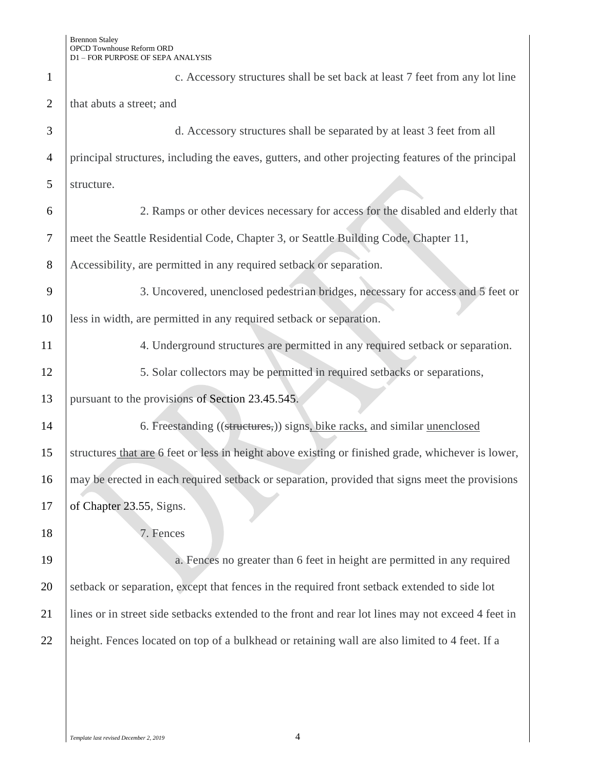| $\mathbf{1}$   | c. Accessory structures shall be set back at least 7 feet from any lot line                        |  |
|----------------|----------------------------------------------------------------------------------------------------|--|
| $\overline{2}$ | that abuts a street; and                                                                           |  |
| 3              | d. Accessory structures shall be separated by at least 3 feet from all                             |  |
| $\overline{4}$ | principal structures, including the eaves, gutters, and other projecting features of the principal |  |
| 5              | structure.                                                                                         |  |
| 6              | 2. Ramps or other devices necessary for access for the disabled and elderly that                   |  |
| $\tau$         | meet the Seattle Residential Code, Chapter 3, or Seattle Building Code, Chapter 11,                |  |
| 8              | Accessibility, are permitted in any required setback or separation.                                |  |
| 9              | 3. Uncovered, unenclosed pedestrian bridges, necessary for access and 5 feet or                    |  |
| 10             | less in width, are permitted in any required setback or separation.                                |  |
| 11             | 4. Underground structures are permitted in any required setback or separation.                     |  |
| 12             | 5. Solar collectors may be permitted in required setbacks or separations,                          |  |
| 13             | pursuant to the provisions of Section 23.45.545.                                                   |  |
| 14             | 6. Freestanding ((structures,)) signs, bike racks, and similar unenclosed                          |  |
| 15             | structures that are 6 feet or less in height above existing or finished grade, whichever is lower, |  |
| 16             | may be erected in each required setback or separation, provided that signs meet the provisions     |  |
| 17             | of Chapter 23.55, Signs.                                                                           |  |
| 18             | 7. Fences                                                                                          |  |
| 19             | a. Fences no greater than 6 feet in height are permitted in any required                           |  |
| 20             | setback or separation, except that fences in the required front setback extended to side lot       |  |
| 21             | lines or in street side setbacks extended to the front and rear lot lines may not exceed 4 feet in |  |
| 22             | height. Fences located on top of a bulkhead or retaining wall are also limited to 4 feet. If a     |  |
|                |                                                                                                    |  |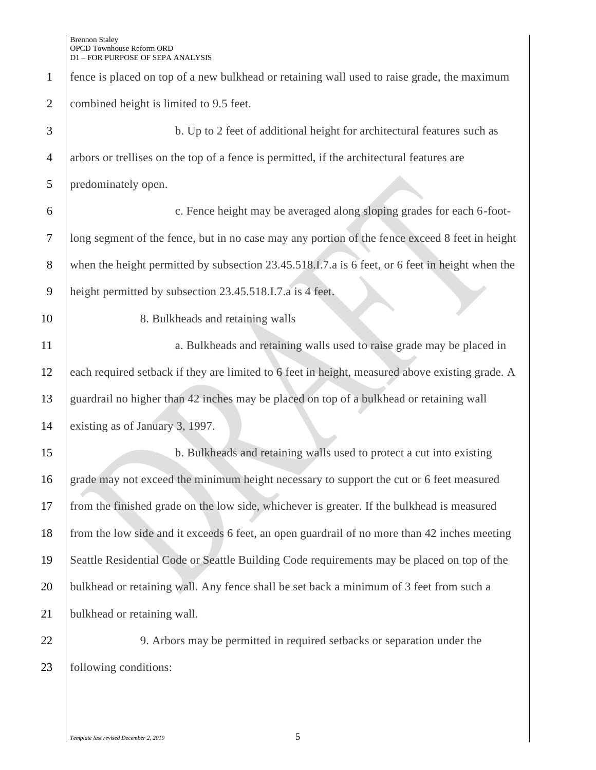| $\mathbf{1}$   | fence is placed on top of a new bulkhead or retaining wall used to raise grade, the maximum     |  |
|----------------|-------------------------------------------------------------------------------------------------|--|
| $\mathfrak{2}$ | combined height is limited to 9.5 feet.                                                         |  |
| 3              | b. Up to 2 feet of additional height for architectural features such as                         |  |
| $\overline{4}$ | arbors or trellises on the top of a fence is permitted, if the architectural features are       |  |
| 5              | predominately open.                                                                             |  |
| 6              | c. Fence height may be averaged along sloping grades for each 6-foot-                           |  |
| $\tau$         | long segment of the fence, but in no case may any portion of the fence exceed 8 feet in height  |  |
| $8\,$          | when the height permitted by subsection 23.45.518.I.7.a is 6 feet, or 6 feet in height when the |  |
| $\mathbf{9}$   | height permitted by subsection 23.45.518.I.7.a is 4 feet.                                       |  |
| 10             | 8. Bulkheads and retaining walls                                                                |  |
| 11             | a. Bulkheads and retaining walls used to raise grade may be placed in                           |  |
| 12             | each required setback if they are limited to 6 feet in height, measured above existing grade. A |  |
| 13             | guardrail no higher than 42 inches may be placed on top of a bulkhead or retaining wall         |  |
| 14             | existing as of January 3, 1997.                                                                 |  |
| 15             | b. Bulkheads and retaining walls used to protect a cut into existing                            |  |
| 16             | grade may not exceed the minimum height necessary to support the cut or 6 feet measured         |  |
| 17             | from the finished grade on the low side, whichever is greater. If the bulkhead is measured      |  |
| 18             | from the low side and it exceeds 6 feet, an open guardrail of no more than 42 inches meeting    |  |
| 19             | Seattle Residential Code or Seattle Building Code requirements may be placed on top of the      |  |
| 20             | bulkhead or retaining wall. Any fence shall be set back a minimum of 3 feet from such a         |  |
| 21             | bulkhead or retaining wall.                                                                     |  |
| 22             | 9. Arbors may be permitted in required set backs or separation under the                        |  |
| 23             | following conditions:                                                                           |  |
|                |                                                                                                 |  |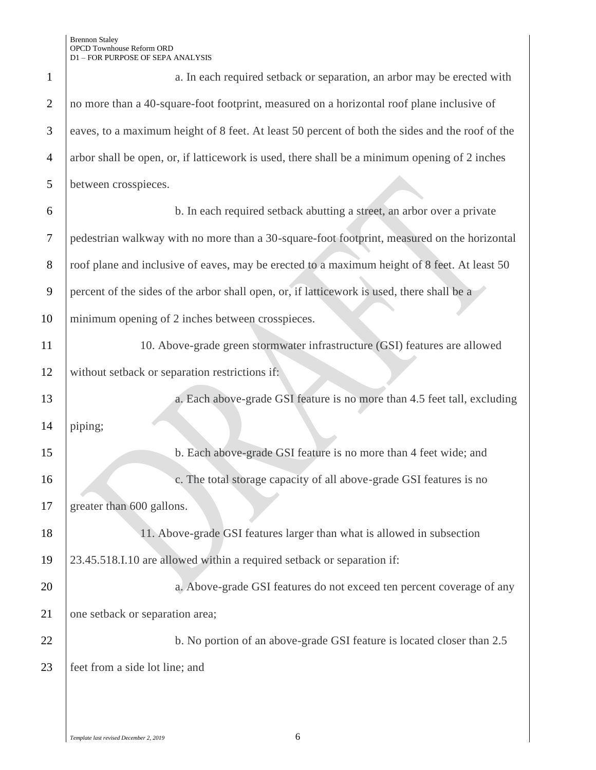| $\mathbf{1}$   | a. In each required setback or separation, an arbor may be erected with                         |  |
|----------------|-------------------------------------------------------------------------------------------------|--|
| $\overline{2}$ | no more than a 40-square-foot footprint, measured on a horizontal roof plane inclusive of       |  |
| 3              | eaves, to a maximum height of 8 feet. At least 50 percent of both the sides and the roof of the |  |
| $\overline{4}$ | arbor shall be open, or, if latticework is used, there shall be a minimum opening of 2 inches   |  |
| 5              | between crosspieces.                                                                            |  |
| 6              | b. In each required setback abutting a street, an arbor over a private                          |  |
| 7              | pedestrian walkway with no more than a 30-square-foot footprint, measured on the horizontal     |  |
| $8\phantom{1}$ | roof plane and inclusive of eaves, may be erected to a maximum height of 8 feet. At least 50    |  |
| 9              | percent of the sides of the arbor shall open, or, if latticework is used, there shall be a      |  |
| 10             | minimum opening of 2 inches between crosspieces.                                                |  |
| 11             | 10. Above-grade green stormwater infrastructure (GSI) features are allowed                      |  |
| 12             | without setback or separation restrictions if:                                                  |  |
| 13             | a. Each above-grade GSI feature is no more than 4.5 feet tall, excluding                        |  |
| 14             | piping;                                                                                         |  |
| 15             | b. Each above-grade GSI feature is no more than 4 feet wide; and                                |  |
| 16             | c. The total storage capacity of all above-grade GSI features is no                             |  |
| 17             | greater than 600 gallons.                                                                       |  |
| 18             | 11. Above-grade GSI features larger than what is allowed in subsection                          |  |
| 19             | 23.45.518.I.10 are allowed within a required setback or separation if:                          |  |
| 20             | a. Above-grade GSI features do not exceed ten percent coverage of any                           |  |
| 21             | one setback or separation area;                                                                 |  |
| 22             | b. No portion of an above-grade GSI feature is located closer than 2.5                          |  |
| 23             | feet from a side lot line; and                                                                  |  |
|                |                                                                                                 |  |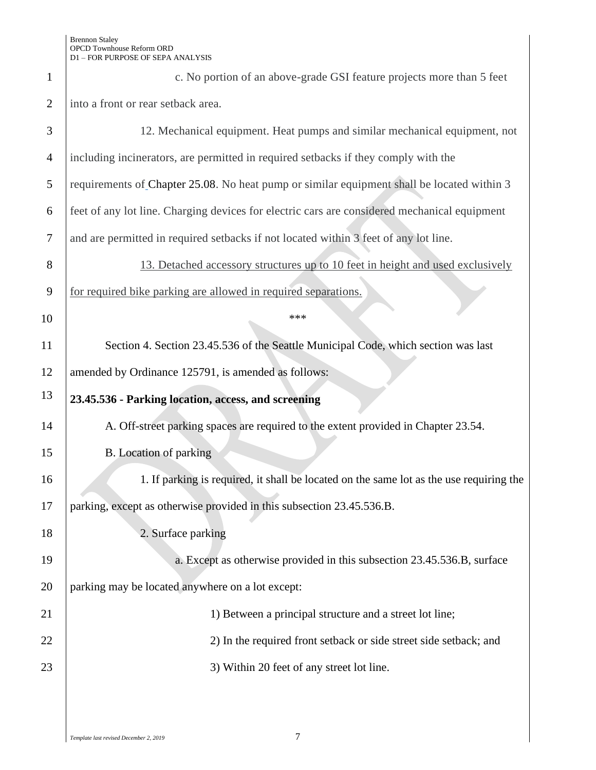| $\mathbf 1$    | c. No portion of an above-grade GSI feature projects more than 5 feet                        |  |
|----------------|----------------------------------------------------------------------------------------------|--|
| $\overline{2}$ | into a front or rear setback area.                                                           |  |
| 3              | 12. Mechanical equipment. Heat pumps and similar mechanical equipment, not                   |  |
| $\overline{4}$ | including incinerators, are permitted in required setbacks if they comply with the           |  |
| 5              | requirements of Chapter 25.08. No heat pump or similar equipment shall be located within 3   |  |
| 6              | feet of any lot line. Charging devices for electric cars are considered mechanical equipment |  |
| $\tau$         | and are permitted in required setbacks if not located within 3 feet of any lot line.         |  |
| 8              | 13. Detached accessory structures up to 10 feet in height and used exclusively               |  |
| 9              | for required bike parking are allowed in required separations.                               |  |
| 10             | ***                                                                                          |  |
| 11             | Section 4. Section 23.45.536 of the Seattle Municipal Code, which section was last           |  |
| 12             | amended by Ordinance 125791, is amended as follows:                                          |  |
| 13             | 23.45.536 - Parking location, access, and screening                                          |  |
| 14             | A. Off-street parking spaces are required to the extent provided in Chapter 23.54.           |  |
| 15             | B. Location of parking                                                                       |  |
| 16             | 1. If parking is required, it shall be located on the same lot as the use requiring the      |  |
| 17             | parking, except as otherwise provided in this subsection 23.45.536.B.                        |  |
| 18             | 2. Surface parking                                                                           |  |
| 19             | a. Except as otherwise provided in this subsection 23.45.536.B, surface                      |  |
| 20             | parking may be located anywhere on a lot except:                                             |  |
|                |                                                                                              |  |
| 21             | 1) Between a principal structure and a street lot line;                                      |  |
| 22             | 2) In the required front setback or side street side setback; and                            |  |
| 23             | 3) Within 20 feet of any street lot line.                                                    |  |
|                |                                                                                              |  |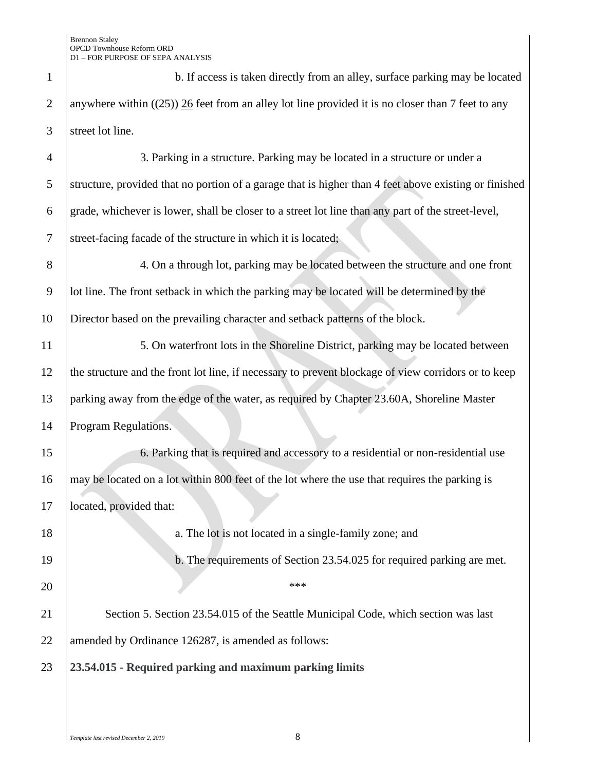| $\mathbf{1}$   | b. If access is taken directly from an alley, surface parking may be located                          |  |
|----------------|-------------------------------------------------------------------------------------------------------|--|
| $\overline{2}$ | anywhere within $((25))$ 26 feet from an alley lot line provided it is no closer than 7 feet to any   |  |
| 3              | street lot line.                                                                                      |  |
| $\overline{4}$ | 3. Parking in a structure. Parking may be located in a structure or under a                           |  |
| 5              | structure, provided that no portion of a garage that is higher than 4 feet above existing or finished |  |
| 6              | grade, whichever is lower, shall be closer to a street lot line than any part of the street-level,    |  |
| $\tau$         | street-facing facade of the structure in which it is located;                                         |  |
| 8              | 4. On a through lot, parking may be located between the structure and one front                       |  |
| $\overline{9}$ | lot line. The front setback in which the parking may be located will be determined by the             |  |
| 10             | Director based on the prevailing character and setback patterns of the block.                         |  |
| 11             | 5. On waterfront lots in the Shoreline District, parking may be located between                       |  |
| 12             | the structure and the front lot line, if necessary to prevent blockage of view corridors or to keep   |  |
| 13             | parking away from the edge of the water, as required by Chapter 23.60A, Shoreline Master              |  |
| 14             | Program Regulations.                                                                                  |  |
| 15             | 6. Parking that is required and accessory to a residential or non-residential use                     |  |
| 16             | may be located on a lot within 800 feet of the lot where the use that requires the parking is         |  |
| 17             | located, provided that:                                                                               |  |
| 18             | a. The lot is not located in a single-family zone; and                                                |  |
| 19             | b. The requirements of Section 23.54.025 for required parking are met.                                |  |
| 20             | ***                                                                                                   |  |
| 21             | Section 5. Section 23.54.015 of the Seattle Municipal Code, which section was last                    |  |
| 22             | amended by Ordinance 126287, is amended as follows:                                                   |  |
| 23             | 23.54.015 - Required parking and maximum parking limits                                               |  |
|                |                                                                                                       |  |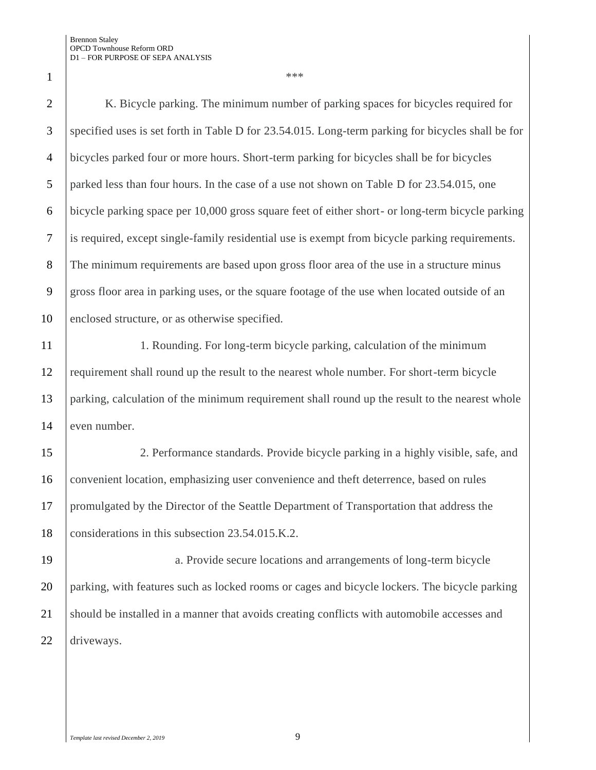$\begin{array}{|c|c|c|c|c|}\n1 & & & & \text{***}\n\end{array}$ 

2 | K. Bicycle parking. The minimum number of parking spaces for bicycles required for specified uses is set forth in Table D for 23.54.015. Long-term parking for bicycles shall be for bicycles parked four or more hours. Short-term parking for bicycles shall be for bicycles 5 parked less than four hours. In the case of a use not shown on Table D for 23.54.015, one bicycle parking space per 10,000 gross square feet of either short- or long-term bicycle parking is required, except single-family residential use is exempt from bicycle parking requirements. The minimum requirements are based upon gross floor area of the use in a structure minus gross floor area in parking uses, or the square footage of the use when located outside of an enclosed structure, or as otherwise specified.

11 1. Rounding. For long-term bicycle parking, calculation of the minimum 12 requirement shall round up the result to the nearest whole number. For short-term bicycle 13 parking, calculation of the minimum requirement shall round up the result to the nearest whole 14 even number.

 2. Performance standards. Provide bicycle parking in a highly visible, safe, and convenient location, emphasizing user convenience and theft deterrence, based on rules promulgated by the Director of the Seattle Department of Transportation that address the 18 considerations in this subsection 23.54.015.K.2.

 a. Provide secure locations and arrangements of long-term bicycle parking, with features such as locked rooms or cages and bicycle lockers. The bicycle parking 21 Should be installed in a manner that avoids creating conflicts with automobile accesses and driveways.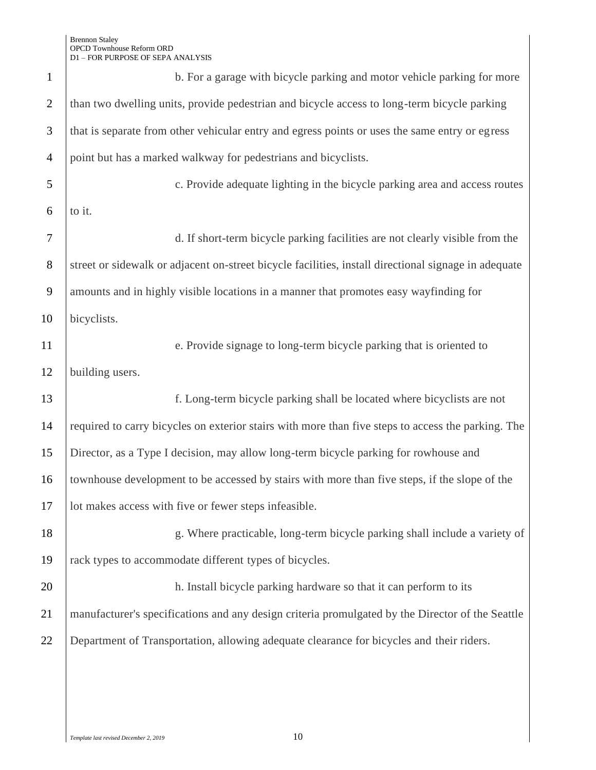| $\mathbf{1}$   | b. For a garage with bicycle parking and motor vehicle parking for more                              |  |
|----------------|------------------------------------------------------------------------------------------------------|--|
| $\overline{2}$ | than two dwelling units, provide pedestrian and bicycle access to long-term bicycle parking          |  |
| 3              | that is separate from other vehicular entry and egress points or uses the same entry or egress       |  |
| $\overline{4}$ | point but has a marked walkway for pedestrians and bicyclists.                                       |  |
| 5              | c. Provide adequate lighting in the bicycle parking area and access routes                           |  |
| 6              | to it.                                                                                               |  |
| 7              | d. If short-term bicycle parking facilities are not clearly visible from the                         |  |
| 8              | street or sidewalk or adjacent on-street bicycle facilities, install directional signage in adequate |  |
| 9              | amounts and in highly visible locations in a manner that promotes easy wayfinding for                |  |
| 10             | bicyclists.                                                                                          |  |
| 11             | e. Provide signage to long-term bicycle parking that is oriented to                                  |  |
| 12             | building users.                                                                                      |  |
| 13             | f. Long-term bicycle parking shall be located where bicyclists are not                               |  |
| 14             | required to carry bicycles on exterior stairs with more than five steps to access the parking. The   |  |
| 15             | Director, as a Type I decision, may allow long-term bicycle parking for rowhouse and                 |  |
| 16             | townhouse development to be accessed by stairs with more than five steps, if the slope of the        |  |
| 17             | lot makes access with five or fewer steps infeasible.                                                |  |
| 18             | g. Where practicable, long-term bicycle parking shall include a variety of                           |  |
| 19             | rack types to accommodate different types of bicycles.                                               |  |
| 20             | h. Install bicycle parking hardware so that it can perform to its                                    |  |
| 21             | manufacturer's specifications and any design criteria promulgated by the Director of the Seattle     |  |
| 22             | Department of Transportation, allowing adequate clearance for bicycles and their riders.             |  |
|                |                                                                                                      |  |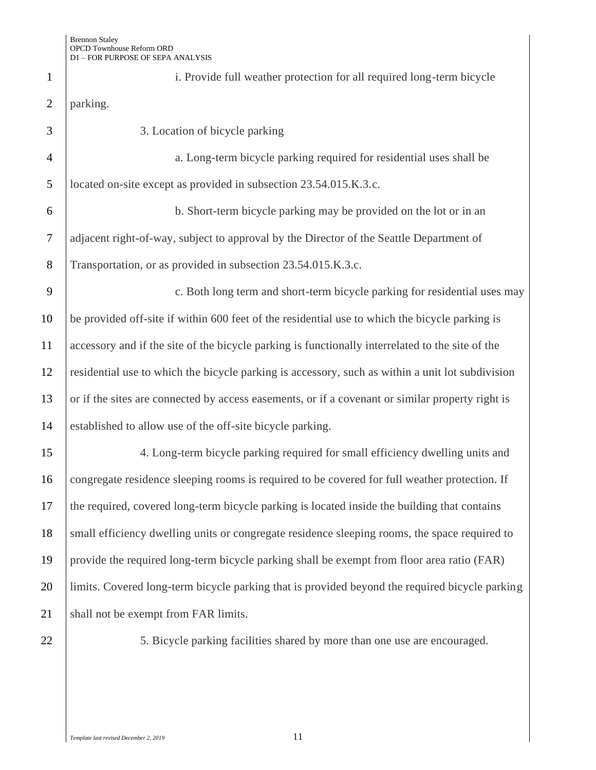| $\mathbf{1}$   | i. Provide full weather protection for all required long-term bicycle                            |
|----------------|--------------------------------------------------------------------------------------------------|
| $\overline{2}$ | parking.                                                                                         |
| 3              | 3. Location of bicycle parking                                                                   |
| $\overline{4}$ | a. Long-term bicycle parking required for residential uses shall be                              |
| 5              | located on-site except as provided in subsection 23.54.015.K.3.c.                                |
| 6              | b. Short-term bicycle parking may be provided on the lot or in an                                |
| $\overline{7}$ | adjacent right-of-way, subject to approval by the Director of the Seattle Department of          |
| 8              | Transportation, or as provided in subsection 23.54.015.K.3.c.                                    |
| 9              | c. Both long term and short-term bicycle parking for residential uses may                        |
| 10             | be provided off-site if within 600 feet of the residential use to which the bicycle parking is   |
| 11             | accessory and if the site of the bicycle parking is functionally interrelated to the site of the |
| 12             | residential use to which the bicycle parking is accessory, such as within a unit lot subdivision |
| 13             | or if the sites are connected by access easements, or if a covenant or similar property right is |
| 14             | established to allow use of the off-site bicycle parking.                                        |
| 15             | 4. Long-term bicycle parking required for small efficiency dwelling units and                    |
| 16             | congregate residence sleeping rooms is required to be covered for full weather protection. If    |
| 17             | the required, covered long-term bicycle parking is located inside the building that contains     |
| 18             | small efficiency dwelling units or congregate residence sleeping rooms, the space required to    |
| 19             | provide the required long-term bicycle parking shall be exempt from floor area ratio (FAR)       |
| 20             | limits. Covered long-term bicycle parking that is provided beyond the required bicycle parking   |
| 21             | shall not be exempt from FAR limits.                                                             |
| 22             | 5. Bicycle parking facilities shared by more than one use are encouraged.                        |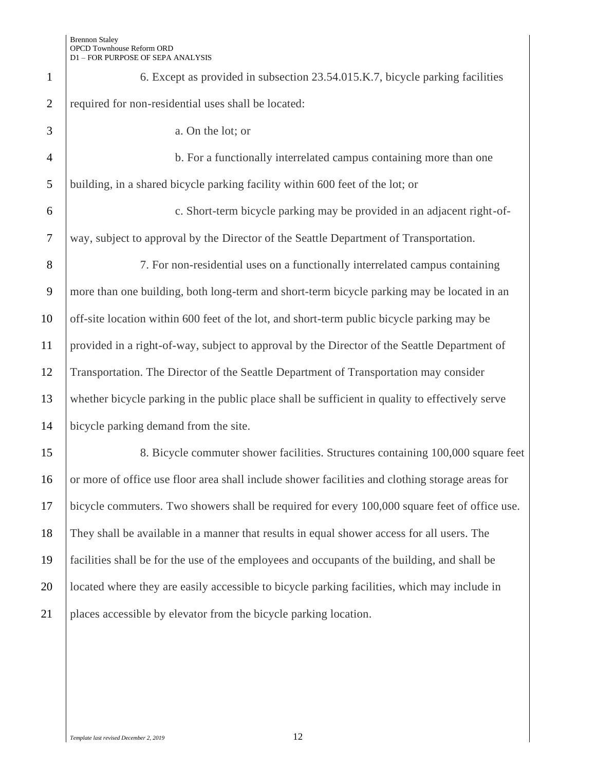| $\mathbf{1}$   | 6. Except as provided in subsection 23.54.015.K.7, bicycle parking facilities                   |  |
|----------------|-------------------------------------------------------------------------------------------------|--|
| $\overline{2}$ | required for non-residential uses shall be located:                                             |  |
| 3              | a. On the lot; or                                                                               |  |
| $\overline{4}$ | b. For a functionally interrelated campus containing more than one                              |  |
| 5              | building, in a shared bicycle parking facility within 600 feet of the lot; or                   |  |
| 6              | c. Short-term bicycle parking may be provided in an adjacent right-of-                          |  |
| $\overline{7}$ | way, subject to approval by the Director of the Seattle Department of Transportation.           |  |
| 8              | 7. For non-residential uses on a functionally interrelated campus containing                    |  |
| 9              | more than one building, both long-term and short-term bicycle parking may be located in an      |  |
| 10             | off-site location within 600 feet of the lot, and short-term public bicycle parking may be      |  |
| 11             | provided in a right-of-way, subject to approval by the Director of the Seattle Department of    |  |
| 12             | Transportation. The Director of the Seattle Department of Transportation may consider           |  |
| 13             | whether bicycle parking in the public place shall be sufficient in quality to effectively serve |  |
| 14             | bicycle parking demand from the site.                                                           |  |
| 15             | 8. Bicycle commuter shower facilities. Structures containing 100,000 square feet                |  |
| 16             | or more of office use floor area shall include shower facilities and clothing storage areas for |  |
| 17             | bicycle commuters. Two showers shall be required for every 100,000 square feet of office use.   |  |
| 18             | They shall be available in a manner that results in equal shower access for all users. The      |  |
| 19             | facilities shall be for the use of the employees and occupants of the building, and shall be    |  |
| 20             | located where they are easily accessible to bicycle parking facilities, which may include in    |  |
| 21             | places accessible by elevator from the bicycle parking location.                                |  |
|                |                                                                                                 |  |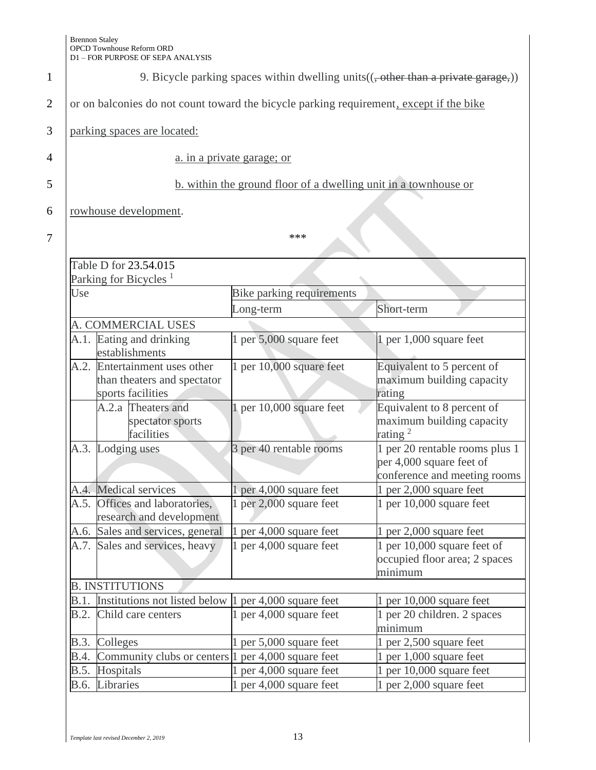| 2                             | I |
|-------------------------------|---|
| 3                             |   |
| $\overline{\phantom{a}}$<br>Z |   |
| 5                             |   |
| 6                             |   |
|                               |   |

1 9. Bicycle parking spaces within dwelling units $((, \text{other than a private garage}))$ 

or on balconies do not count toward the bicycle parking requirement, except if the bike

parking spaces are located:

 $7$  | \*\*\*

a. in a private garage; or

# 5 b. within the ground floor of a dwelling unit in a townhouse or

rowhouse development.

|             | Table D for 23.54.015                                                        |                           |                                                                                            |
|-------------|------------------------------------------------------------------------------|---------------------------|--------------------------------------------------------------------------------------------|
|             | Parking for Bicycles <sup>1</sup>                                            |                           |                                                                                            |
| Use         |                                                                              | Bike parking requirements |                                                                                            |
|             |                                                                              | Long-term                 | Short-term                                                                                 |
|             | A. COMMERCIAL USES                                                           |                           |                                                                                            |
| A.1.        | Eating and drinking<br>establishments                                        | 1 per 5,000 square feet   | 1 per 1,000 square feet                                                                    |
| A.2.        | Entertainment uses other<br>than theaters and spectator<br>sports facilities | 1 per 10,000 square feet  | Equivalent to 5 percent of<br>maximum building capacity<br>rating                          |
|             | A.2.a Theaters and<br>spectator sports<br>facilities                         | 1 per 10,000 square feet  | Equivalent to 8 percent of<br>maximum building capacity<br>rating $2$                      |
|             | A.3. Lodging uses                                                            | 3 per 40 rentable rooms   | 1 per 20 rentable rooms plus 1<br>per 4,000 square feet of<br>conference and meeting rooms |
|             | A.4. Medical services                                                        | 1 per 4,000 square feet   | 1 per 2,000 square feet                                                                    |
| A.5.        | Offices and laboratories,<br>research and development                        | 1 per 2,000 square feet   | 1 per 10,000 square feet                                                                   |
|             | A.6. Sales and services, general                                             | 1 per 4,000 square feet   | 1 per 2,000 square feet                                                                    |
| A.7.        | Sales and services, heavy                                                    | 1 per 4,000 square feet   | 1 per 10,000 square feet of<br>occupied floor area; 2 spaces<br>minimum                    |
|             | <b>B. INSTITUTIONS</b>                                                       |                           |                                                                                            |
| B.1.        | Institutions not listed below 1 per 4,000 square feet                        |                           | 1 per $10,000$ square feet                                                                 |
| B.2.        | Child care centers                                                           | 1 per 4,000 square feet   | 1 per 20 children. 2 spaces<br>minimum                                                     |
|             | B.3. Colleges                                                                | 1 per 5,000 square feet   | 1 per 2,500 square feet                                                                    |
| B.4.        | Community clubs or centers 1 per 4,000 square feet                           |                           | 1 per 1,000 square feet                                                                    |
| <b>B.5.</b> | Hospitals                                                                    | 1 per 4,000 square feet   | 1 per 10,000 square feet                                                                   |
| B.6.        | Libraries                                                                    | 1 per 4,000 square feet   | 1 per 2,000 square feet                                                                    |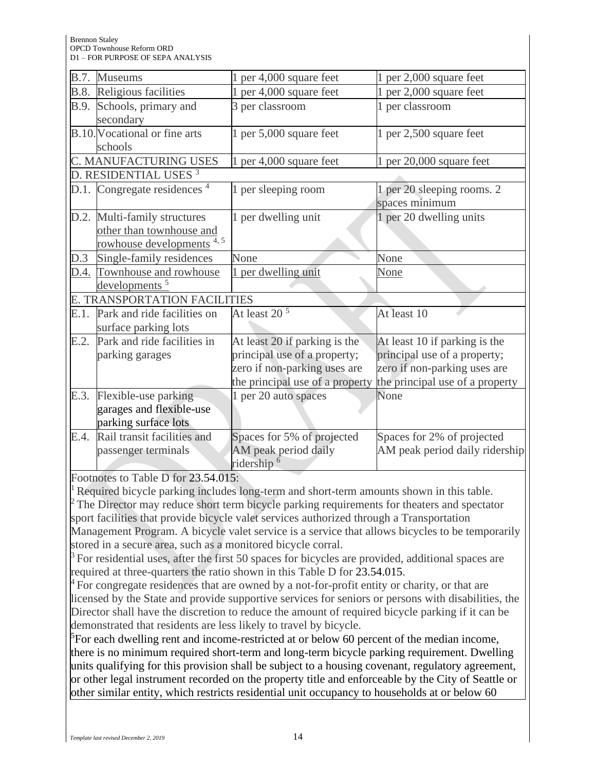| <b>B.7.</b> | Museums                                 | 1 per 4,000 square feet         | 1 per 2,000 square feet         |
|-------------|-----------------------------------------|---------------------------------|---------------------------------|
|             | <b>B.8.</b> Religious facilities        | 1 per 4,000 square feet         | 1 per 2,000 square feet         |
| B.9.        | Schools, primary and                    | 3 per classroom                 | 1 per classroom                 |
|             | secondary                               |                                 |                                 |
|             | B.10. Vocational or fine arts           | 1 per 5,000 square feet         | 1 per 2,500 square feet         |
|             | schools                                 |                                 |                                 |
|             | C. MANUFACTURING USES                   | 1 per 4,000 square feet         | 1 per 20,000 square feet        |
|             | D. RESIDENTIAL USES <sup>3</sup>        |                                 |                                 |
|             | D.1. Congregate residences <sup>4</sup> | 1 per sleeping room             | 1 per 20 sleeping rooms. 2      |
|             |                                         |                                 | spaces minimum                  |
|             | D.2. Multi-family structures            | 1 per dwelling unit             | 1 per 20 dwelling units         |
|             | other than townhouse and                |                                 |                                 |
|             | rowhouse developments <sup>4,5</sup>    |                                 |                                 |
| D.3         | Single-family residences                | None                            | None                            |
| D.4.        | Townhouse and rowhouse                  | 1 per dwelling unit             | None                            |
|             | developments <sup>5</sup>               |                                 |                                 |
|             | E. TRANSPORTATION FACILITIES            |                                 |                                 |
| E.1.        | Park and ride facilities on             | At least $205$                  | At least 10                     |
|             | surface parking lots                    |                                 |                                 |
| E.2.        | Park and ride facilities in             | At least 20 if parking is the   | At least 10 if parking is the   |
|             | parking garages                         | principal use of a property;    | principal use of a property;    |
|             |                                         | zero if non-parking uses are    | zero if non-parking uses are    |
|             |                                         | the principal use of a property | the principal use of a property |
| E.3.        | Flexible-use parking                    | 1 per 20 auto spaces            | None                            |
|             | garages and flexible-use                |                                 |                                 |
|             | parking surface lots                    |                                 |                                 |
| E.4.        | Rail transit facilities and             | Spaces for 5% of projected      | Spaces for 2% of projected      |
|             | passenger terminals                     | AM peak period daily            | AM peak period daily ridership  |
|             |                                         | ridership <sup>6</sup>          |                                 |

Footnotes to Table D for 23.54.015:

Required bicycle parking includes long-term and short-term amounts shown in this table.

<sup>2</sup>The Director may reduce short term bicycle parking requirements for theaters and spectator sport facilities that provide bicycle valet services authorized through a Transportation Management Program. A bicycle valet service is a service that allows bicycles to be temporarily stored in a secure area, such as a monitored bicycle corral.

 $3$  For residential uses, after the first 50 spaces for bicycles are provided, additional spaces are required at three-quarters the ratio shown in this Table D for 23.54.015.

 $^{4}$  For congregate residences that are owned by a not-for-profit entity or charity, or that are licensed by the State and provide supportive services for seniors or persons with disabilities, the Director shall have the discretion to reduce the amount of required bicycle parking if it can be demonstrated that residents are less likely to travel by bicycle.

 ${}^{5}$ For each dwelling rent and income-restricted at or below 60 percent of the median income, there is no minimum required short-term and long-term bicycle parking requirement. Dwelling units qualifying for this provision shall be subject to a housing covenant, regulatory agreement, or other legal instrument recorded on the property title and enforceable by the City of Seattle or other similar entity, which restricts residential unit occupancy to households at or below 60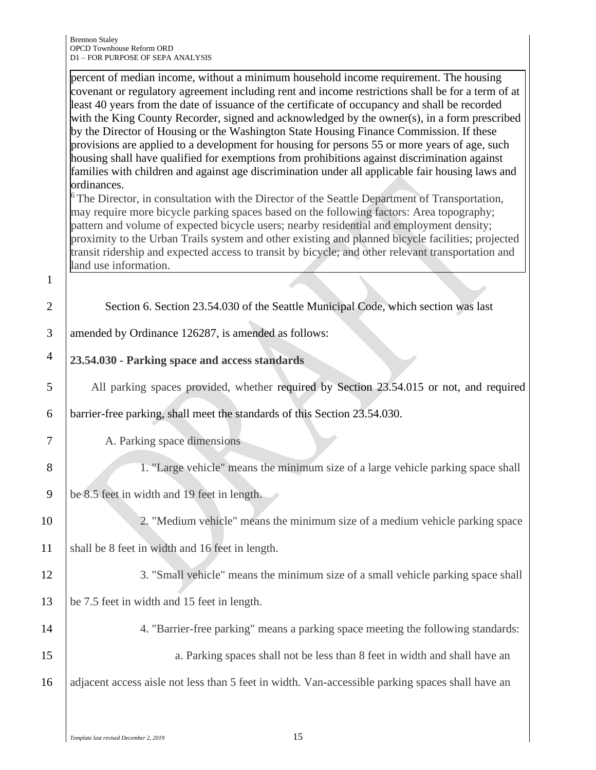|                | percent of median income, without a minimum household income requirement. The housing<br>covenant or regulatory agreement including rent and income restrictions shall be for a term of at<br>least 40 years from the date of issuance of the certificate of occupancy and shall be recorded<br>with the King County Recorder, signed and acknowledged by the owner(s), in a form prescribed<br>by the Director of Housing or the Washington State Housing Finance Commission. If these<br>provisions are applied to a development for housing for persons 55 or more years of age, such<br>housing shall have qualified for exemptions from prohibitions against discrimination against<br>families with children and against age discrimination under all applicable fair housing laws and<br>ordinances.<br>$6$ The Director, in consultation with the Director of the Seattle Department of Transportation,<br>may require more bicycle parking spaces based on the following factors: Area topography;<br>pattern and volume of expected bicycle users; nearby residential and employment density;<br>proximity to the Urban Trails system and other existing and planned bicycle facilities; projected<br>transit ridership and expected access to transit by bicycle; and other relevant transportation and<br>land use information. |
|----------------|---------------------------------------------------------------------------------------------------------------------------------------------------------------------------------------------------------------------------------------------------------------------------------------------------------------------------------------------------------------------------------------------------------------------------------------------------------------------------------------------------------------------------------------------------------------------------------------------------------------------------------------------------------------------------------------------------------------------------------------------------------------------------------------------------------------------------------------------------------------------------------------------------------------------------------------------------------------------------------------------------------------------------------------------------------------------------------------------------------------------------------------------------------------------------------------------------------------------------------------------------------------------------------------------------------------------------------------------|
| $\mathbf{1}$   |                                                                                                                                                                                                                                                                                                                                                                                                                                                                                                                                                                                                                                                                                                                                                                                                                                                                                                                                                                                                                                                                                                                                                                                                                                                                                                                                             |
| $\overline{2}$ | Section 6. Section 23.54.030 of the Seattle Municipal Code, which section was last                                                                                                                                                                                                                                                                                                                                                                                                                                                                                                                                                                                                                                                                                                                                                                                                                                                                                                                                                                                                                                                                                                                                                                                                                                                          |
| 3              | amended by Ordinance 126287, is amended as follows:                                                                                                                                                                                                                                                                                                                                                                                                                                                                                                                                                                                                                                                                                                                                                                                                                                                                                                                                                                                                                                                                                                                                                                                                                                                                                         |
| $\overline{4}$ | 23.54.030 - Parking space and access standards                                                                                                                                                                                                                                                                                                                                                                                                                                                                                                                                                                                                                                                                                                                                                                                                                                                                                                                                                                                                                                                                                                                                                                                                                                                                                              |
| 5              | All parking spaces provided, whether required by Section 23.54.015 or not, and required                                                                                                                                                                                                                                                                                                                                                                                                                                                                                                                                                                                                                                                                                                                                                                                                                                                                                                                                                                                                                                                                                                                                                                                                                                                     |
| 6              | barrier-free parking, shall meet the standards of this Section 23.54.030.                                                                                                                                                                                                                                                                                                                                                                                                                                                                                                                                                                                                                                                                                                                                                                                                                                                                                                                                                                                                                                                                                                                                                                                                                                                                   |
| 7              | A. Parking space dimensions                                                                                                                                                                                                                                                                                                                                                                                                                                                                                                                                                                                                                                                                                                                                                                                                                                                                                                                                                                                                                                                                                                                                                                                                                                                                                                                 |
| 8              | 1. "Large vehicle" means the minimum size of a large vehicle parking space shall                                                                                                                                                                                                                                                                                                                                                                                                                                                                                                                                                                                                                                                                                                                                                                                                                                                                                                                                                                                                                                                                                                                                                                                                                                                            |
| 9              | be 8.5 feet in width and 19 feet in length.                                                                                                                                                                                                                                                                                                                                                                                                                                                                                                                                                                                                                                                                                                                                                                                                                                                                                                                                                                                                                                                                                                                                                                                                                                                                                                 |
| 10             | 2. "Medium vehicle" means the minimum size of a medium vehicle parking space                                                                                                                                                                                                                                                                                                                                                                                                                                                                                                                                                                                                                                                                                                                                                                                                                                                                                                                                                                                                                                                                                                                                                                                                                                                                |
| 11             | shall be 8 feet in width and 16 feet in length.                                                                                                                                                                                                                                                                                                                                                                                                                                                                                                                                                                                                                                                                                                                                                                                                                                                                                                                                                                                                                                                                                                                                                                                                                                                                                             |
| 12             | 3. "Small vehicle" means the minimum size of a small vehicle parking space shall                                                                                                                                                                                                                                                                                                                                                                                                                                                                                                                                                                                                                                                                                                                                                                                                                                                                                                                                                                                                                                                                                                                                                                                                                                                            |
| 13             | be 7.5 feet in width and 15 feet in length.                                                                                                                                                                                                                                                                                                                                                                                                                                                                                                                                                                                                                                                                                                                                                                                                                                                                                                                                                                                                                                                                                                                                                                                                                                                                                                 |
| 14             | 4. "Barrier-free parking" means a parking space meeting the following standards:                                                                                                                                                                                                                                                                                                                                                                                                                                                                                                                                                                                                                                                                                                                                                                                                                                                                                                                                                                                                                                                                                                                                                                                                                                                            |
| 15             | a. Parking spaces shall not be less than 8 feet in width and shall have an                                                                                                                                                                                                                                                                                                                                                                                                                                                                                                                                                                                                                                                                                                                                                                                                                                                                                                                                                                                                                                                                                                                                                                                                                                                                  |
| 16             | adjacent access aisle not less than 5 feet in width. Van-accessible parking spaces shall have an                                                                                                                                                                                                                                                                                                                                                                                                                                                                                                                                                                                                                                                                                                                                                                                                                                                                                                                                                                                                                                                                                                                                                                                                                                            |
|                |                                                                                                                                                                                                                                                                                                                                                                                                                                                                                                                                                                                                                                                                                                                                                                                                                                                                                                                                                                                                                                                                                                                                                                                                                                                                                                                                             |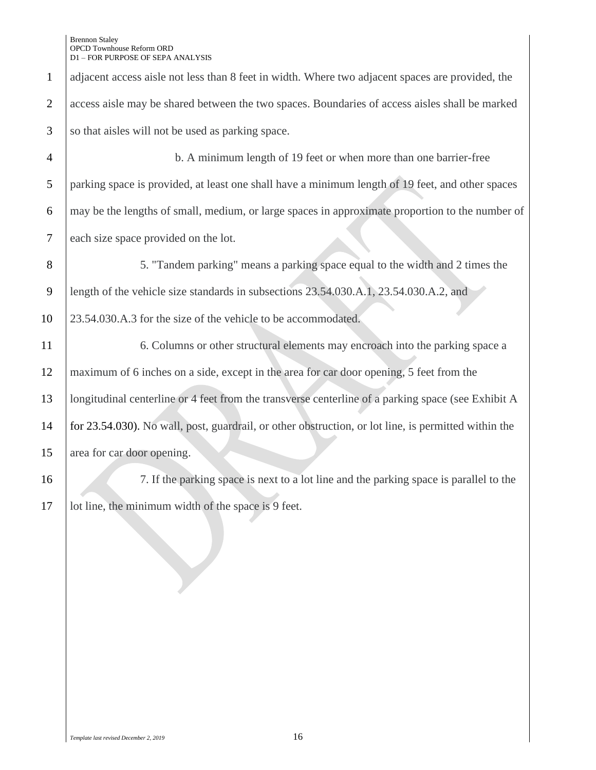| $\mathbf{1}$   | adjacent access aisle not less than 8 feet in width. Where two adjacent spaces are provided, the     |
|----------------|------------------------------------------------------------------------------------------------------|
| $\overline{2}$ | access aisle may be shared between the two spaces. Boundaries of access aisles shall be marked       |
| 3              | so that aisles will not be used as parking space.                                                    |
| $\overline{4}$ | b. A minimum length of 19 feet or when more than one barrier-free                                    |
| 5              | parking space is provided, at least one shall have a minimum length of 19 feet, and other spaces     |
| 6              | may be the lengths of small, medium, or large spaces in approximate proportion to the number of      |
| 7              | each size space provided on the lot.                                                                 |
| 8              | 5. "Tandem parking" means a parking space equal to the width and 2 times the                         |
| 9              | length of the vehicle size standards in subsections 23.54.030.A.1, 23.54.030.A.2, and                |
| 10             | 23.54.030.A.3 for the size of the vehicle to be accommodated.                                        |
| 11             | 6. Columns or other structural elements may encroach into the parking space a                        |
| 12             | maximum of 6 inches on a side, except in the area for car door opening, 5 feet from the              |
| 13             | longitudinal centerline or 4 feet from the transverse centerline of a parking space (see Exhibit A   |
| 14             | for 23.54.030). No wall, post, guardrail, or other obstruction, or lot line, is permitted within the |
| 15             | area for car door opening.                                                                           |
| 16             | 7. If the parking space is next to a lot line and the parking space is parallel to the               |
| 17             | lot line, the minimum width of the space is 9 feet.                                                  |
|                |                                                                                                      |
|                |                                                                                                      |
|                |                                                                                                      |
|                |                                                                                                      |
|                |                                                                                                      |
|                |                                                                                                      |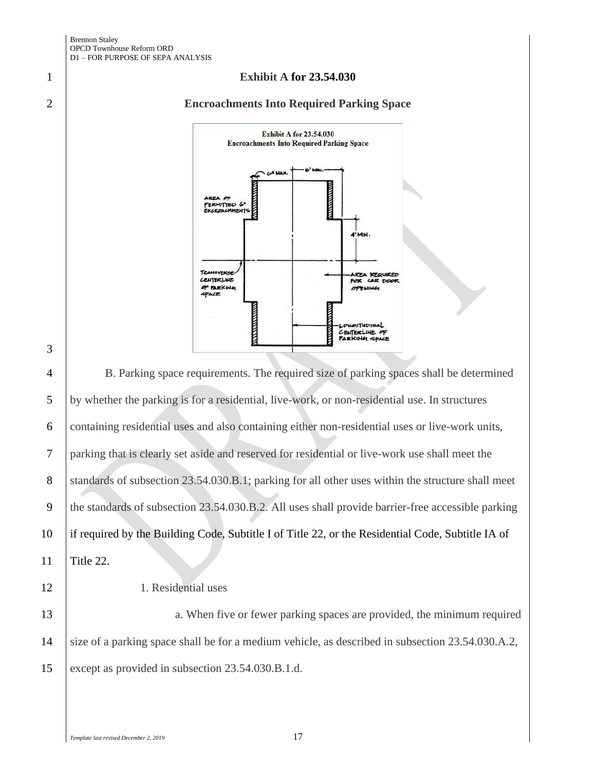#### **Exhibit A for 23.54.030**

### **Encroachments Into Required Parking Space**



 B. Parking space requirements. The required size of parking spaces shall be determined by whether the parking is for a residential, live-work, or non-residential use. In structures containing residential uses and also containing either non-residential uses or live-work units, parking that is clearly set aside and reserved for residential or live-work use shall meet the 8 standards of subsection 23.54.030.B.1; parking for all other uses within the structure shall meet 9 the standards of subsection 23.54.030.B.2. All uses shall provide barrier-free accessible parking if required by the Building Code, Subtitle I of Title 22, or the Residential Code, Subtitle IA of Title 22.

## 1. Residential uses

13 a. When five or fewer parking spaces are provided, the minimum required size of a parking space shall be for a medium vehicle, as described in subsection 23.54.030.A.2, except as provided in subsection 23.54.030.B.1.d.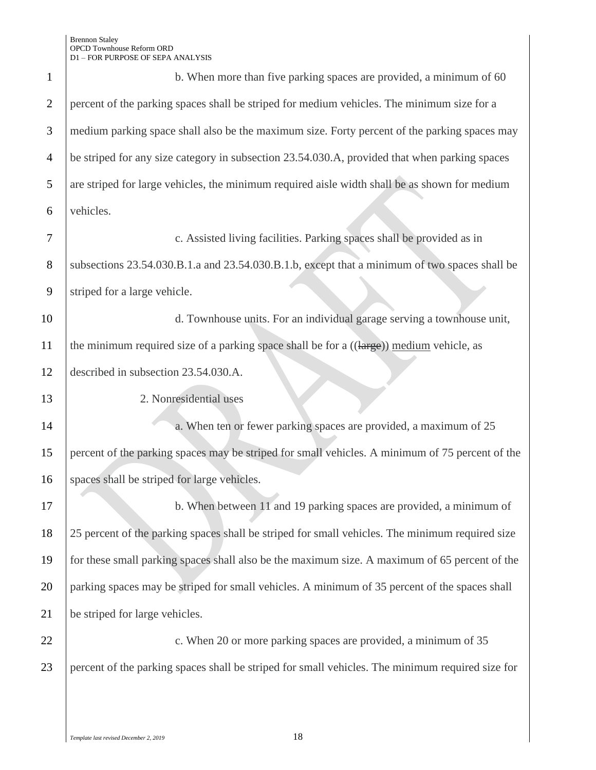| 1              | b. When more than five parking spaces are provided, a minimum of 60                              |
|----------------|--------------------------------------------------------------------------------------------------|
| $\overline{2}$ | percent of the parking spaces shall be striped for medium vehicles. The minimum size for a       |
| 3              | medium parking space shall also be the maximum size. Forty percent of the parking spaces may     |
| $\overline{4}$ | be striped for any size category in subsection 23.54.030.A, provided that when parking spaces    |
| 5              | are striped for large vehicles, the minimum required aisle width shall be as shown for medium    |
| 6              | vehicles.                                                                                        |
| $\overline{7}$ | c. Assisted living facilities. Parking spaces shall be provided as in                            |
| 8              | subsections 23.54.030.B.1.a and 23.54.030.B.1.b, except that a minimum of two spaces shall be    |
| 9              | striped for a large vehicle.                                                                     |
| 10             | d. Townhouse units. For an individual garage serving a townhouse unit,                           |
| 11             | the minimum required size of a parking space shall be for a ((large)) medium vehicle, as         |
| 12             | described in subsection 23.54.030.A.                                                             |
| 13             | 2. Nonresidential uses                                                                           |
| 14             | a. When ten or fewer parking spaces are provided, a maximum of 25                                |
| 15             | percent of the parking spaces may be striped for small vehicles. A minimum of 75 percent of the  |
| 16             | spaces shall be striped for large vehicles.                                                      |
| 17             | b. When between 11 and 19 parking spaces are provided, a minimum of                              |
| 18             | 25 percent of the parking spaces shall be striped for small vehicles. The minimum required size  |
| 19             | for these small parking spaces shall also be the maximum size. A maximum of 65 percent of the    |
| 20             | parking spaces may be striped for small vehicles. A minimum of 35 percent of the spaces shall    |
| 21             | be striped for large vehicles.                                                                   |
| 22             | c. When 20 or more parking spaces are provided, a minimum of 35                                  |
| 23             | percent of the parking spaces shall be striped for small vehicles. The minimum required size for |
|                |                                                                                                  |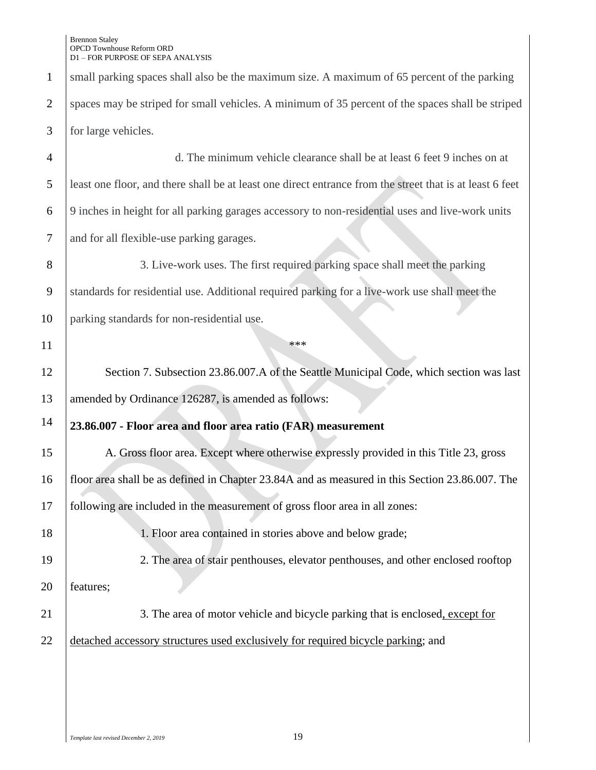|                | D1 – FOR PURPOSE OF SEPA ANALYSIS                                                                        |
|----------------|----------------------------------------------------------------------------------------------------------|
| $\mathbf{1}$   | small parking spaces shall also be the maximum size. A maximum of 65 percent of the parking              |
| $\overline{2}$ | spaces may be striped for small vehicles. A minimum of 35 percent of the spaces shall be striped         |
| 3              | for large vehicles.                                                                                      |
| $\overline{4}$ | d. The minimum vehicle clearance shall be at least 6 feet 9 inches on at                                 |
| 5              | least one floor, and there shall be at least one direct entrance from the street that is at least 6 feet |
| 6              | 9 inches in height for all parking garages accessory to non-residential uses and live-work units         |
| 7              | and for all flexible-use parking garages.                                                                |
| 8              | 3. Live-work uses. The first required parking space shall meet the parking                               |
| 9              | standards for residential use. Additional required parking for a live-work use shall meet the            |
| 10             | parking standards for non-residential use.                                                               |
| 11             | ***                                                                                                      |
| 12             | Section 7. Subsection 23.86.007.A of the Seattle Municipal Code, which section was last                  |
| 13             | amended by Ordinance 126287, is amended as follows:                                                      |
| 14             | 23.86.007 - Floor area and floor area ratio (FAR) measurement                                            |
| 15             | A. Gross floor area. Except where otherwise expressly provided in this Title 23, gross                   |
| 16             | floor area shall be as defined in Chapter 23.84A and as measured in this Section 23.86.007. The          |
| 17             | following are included in the measurement of gross floor area in all zones:                              |
| 18             | 1. Floor area contained in stories above and below grade;                                                |
| 19             | 2. The area of stair penthouses, elevator penthouses, and other enclosed rooftop                         |
| 20             | features;                                                                                                |
| 21             | 3. The area of motor vehicle and bicycle parking that is enclosed, except for                            |
| 22             | detached accessory structures used exclusively for required bicycle parking; and                         |
|                |                                                                                                          |
|                |                                                                                                          |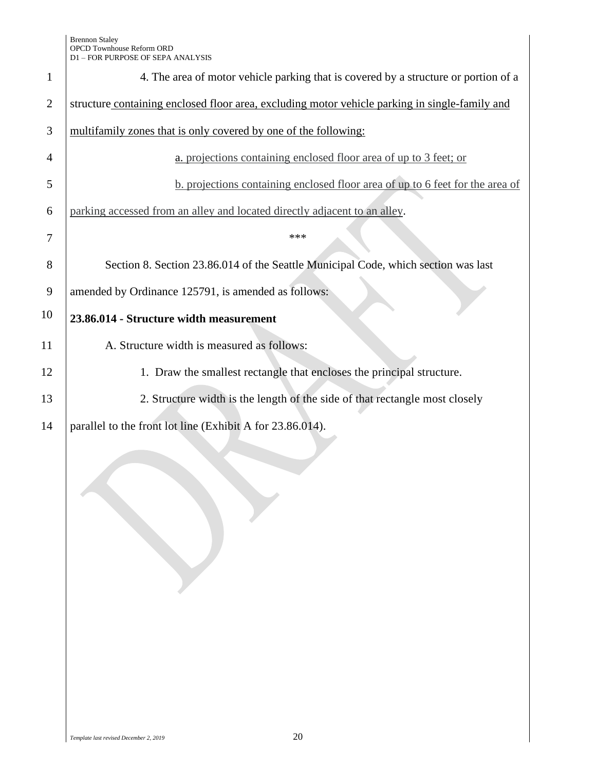| $\mathbf{1}$   | 4. The area of motor vehicle parking that is covered by a structure or portion of a            |
|----------------|------------------------------------------------------------------------------------------------|
| $\overline{2}$ | structure containing enclosed floor area, excluding motor vehicle parking in single-family and |
| 3              | multifamily zones that is only covered by one of the following:                                |
| 4              | a. projections containing enclosed floor area of up to 3 feet; or                              |
| 5              | b. projections containing enclosed floor area of up to 6 feet for the area of                  |
| 6              | parking accessed from an alley and located directly adjacent to an alley.                      |
| 7              | ***                                                                                            |
| 8              | Section 8. Section 23.86.014 of the Seattle Municipal Code, which section was last             |
| 9              | amended by Ordinance 125791, is amended as follows:                                            |
| 10             | 23.86.014 - Structure width measurement                                                        |
| 11             | A. Structure width is measured as follows:                                                     |
| 12             | 1. Draw the smallest rectangle that encloses the principal structure.                          |
| 13             | 2. Structure width is the length of the side of that rectangle most closely                    |
| 14             | parallel to the front lot line (Exhibit A for 23.86.014).                                      |
|                |                                                                                                |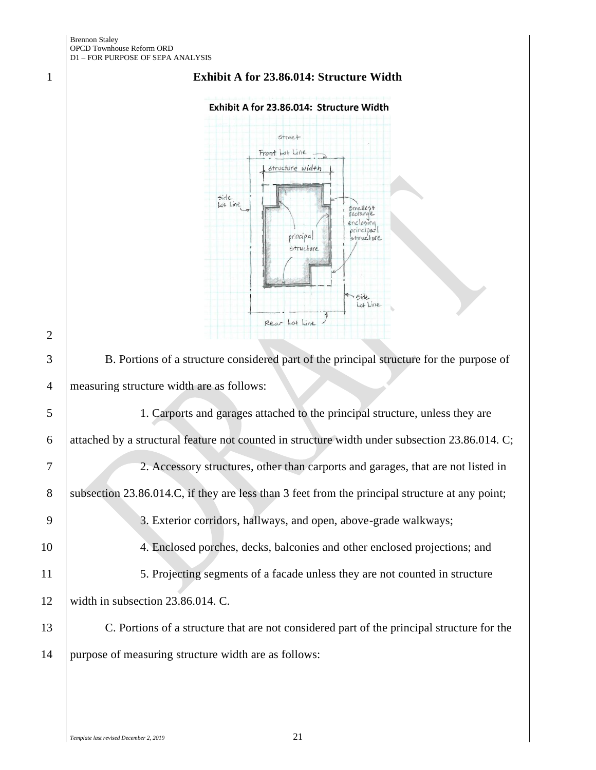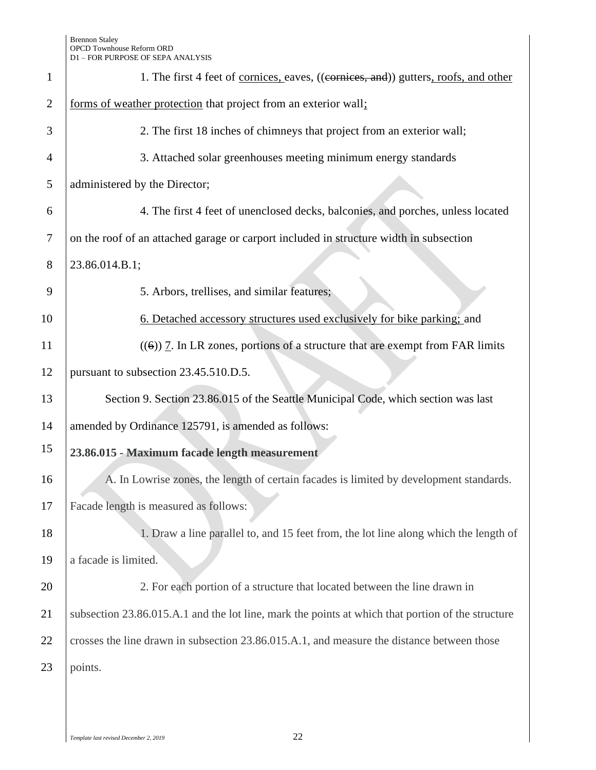| $\mathbf{1}$   | 1. The first 4 feet of <u>cornices</u> , eaves, ((cornices, and)) gutters, roofs, and other       |
|----------------|---------------------------------------------------------------------------------------------------|
| $\overline{2}$ | forms of weather protection that project from an exterior wall;                                   |
| 3              | 2. The first 18 inches of chimneys that project from an exterior wall;                            |
| $\overline{4}$ | 3. Attached solar greenhouses meeting minimum energy standards                                    |
| 5              | administered by the Director;                                                                     |
| 6              | 4. The first 4 feet of unenclosed decks, balconies, and porches, unless located                   |
| 7              | on the roof of an attached garage or carport included in structure width in subsection            |
| 8              | 23.86.014.B.1;                                                                                    |
| 9              | 5. Arbors, trellises, and similar features;                                                       |
| 10             | 6. Detached accessory structures used exclusively for bike parking; and                           |
| 11             | $(6)$ ) 7. In LR zones, portions of a structure that are exempt from FAR limits                   |
| 12             | pursuant to subsection 23.45.510.D.5.                                                             |
| 13             | Section 9. Section 23.86.015 of the Seattle Municipal Code, which section was last                |
| 14             | amended by Ordinance 125791, is amended as follows:                                               |
| 15             | 23.86.015 - Maximum facade length measurement                                                     |
| 16             | A. In Lowrise zones, the length of certain facades is limited by development standards.           |
| 17             | Facade length is measured as follows:                                                             |
| 18             | 1. Draw a line parallel to, and 15 feet from, the lot line along which the length of              |
| 19             | a facade is limited.                                                                              |
| 20             | 2. For each portion of a structure that located between the line drawn in                         |
| 21             | subsection 23.86.015.A.1 and the lot line, mark the points at which that portion of the structure |
| 22             | crosses the line drawn in subsection 23.86.015.A.1, and measure the distance between those        |
| 23             | points.                                                                                           |
|                |                                                                                                   |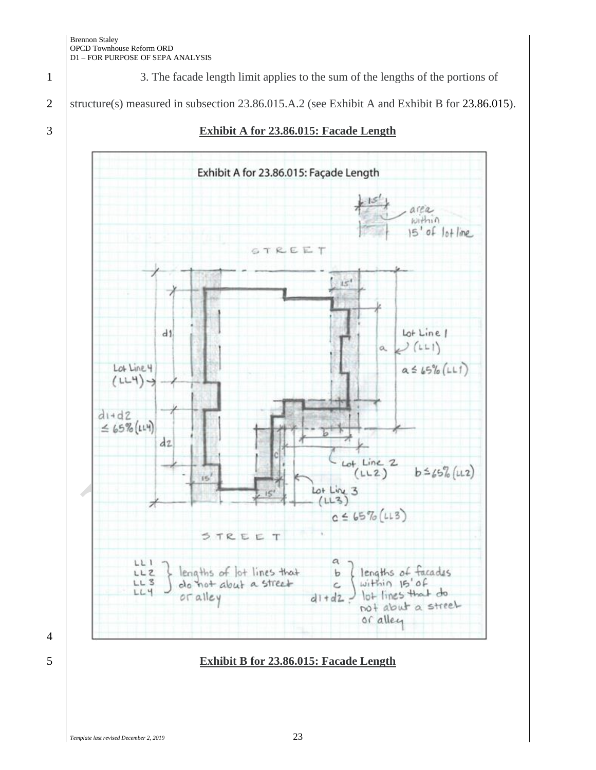1 3. The facade length limit applies to the sum of the lengths of the portions of

2 Structure(s) measured in subsection 23.86.015.A.2 (see Exhibit A and Exhibit B for 23.86.015).



3 **Exhibit A for 23.86.015: Facade Length**



# 5 **Exhibit B for 23.86.015: Facade Length**

*Template last revised December 2, 2019* 23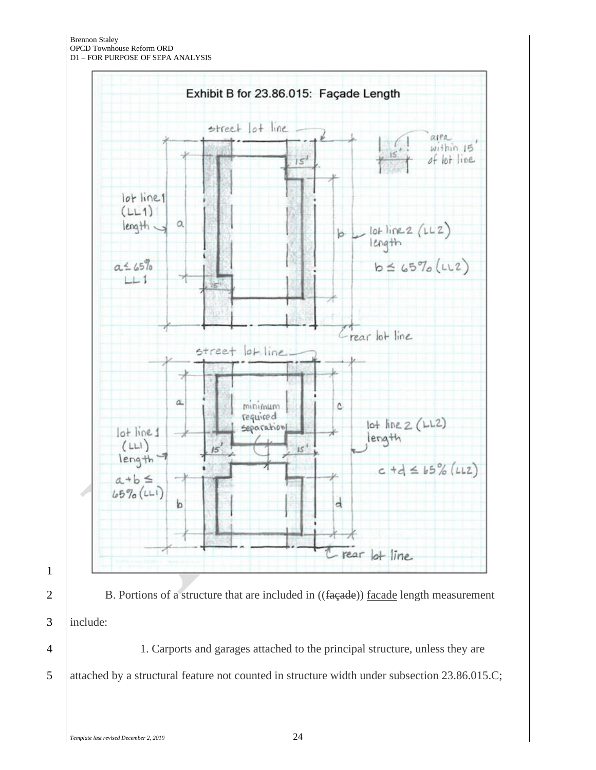Brennon Staley OPCD Townhouse Reform ORD D1 – FOR PURPOSE OF SEPA ANALYSIS



1

2 B. Portions of a structure that are included in  $((\text{fagede}))$  facade length measurement 3 include:

4 1. Carports and garages attached to the principal structure, unless they are 5 attached by a structural feature not counted in structure width under subsection 23.86.015.C;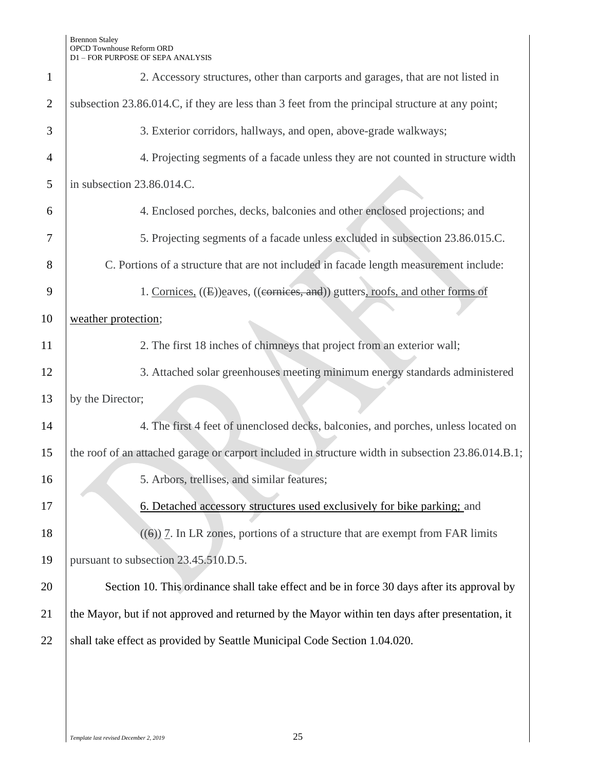| $\mathbf{1}$   | 2. Accessory structures, other than carports and garages, that are not listed in                   |  |
|----------------|----------------------------------------------------------------------------------------------------|--|
| $\overline{2}$ | subsection 23.86.014.C, if they are less than 3 feet from the principal structure at any point;    |  |
| 3              | 3. Exterior corridors, hallways, and open, above-grade walkways;                                   |  |
| 4              | 4. Projecting segments of a facade unless they are not counted in structure width                  |  |
| 5              | in subsection 23.86.014.C.                                                                         |  |
| 6              | 4. Enclosed porches, decks, balconies and other enclosed projections; and                          |  |
| 7              | 5. Projecting segments of a facade unless excluded in subsection 23.86.015.C.                      |  |
| 8              | C. Portions of a structure that are not included in facade length measurement include:             |  |
| 9              | 1. Cornices, ((E))eaves, ((cornices, and)) gutters, roofs, and other forms of                      |  |
| 10             | weather protection;                                                                                |  |
| 11             | 2. The first 18 inches of chimneys that project from an exterior wall;                             |  |
| 12             | 3. Attached solar greenhouses meeting minimum energy standards administered                        |  |
| 13             | by the Director;                                                                                   |  |
| 14             | 4. The first 4 feet of unenclosed decks, balconies, and porches, unless located on                 |  |
| 15             | the roof of an attached garage or carport included in structure width in subsection 23.86.014.B.1; |  |
| 16             | 5. Arbors, trellises, and similar features;                                                        |  |
| 17             | 6. Detached accessory structures used exclusively for bike parking; and                            |  |
| 18             | $(\textbf{(6)})$ 7. In LR zones, portions of a structure that are exempt from FAR limits           |  |
| 19             | pursuant to subsection 23.45.510.D.5.                                                              |  |
| 20             | Section 10. This ordinance shall take effect and be in force 30 days after its approval by         |  |
| 21             | the Mayor, but if not approved and returned by the Mayor within ten days after presentation, it    |  |
| 22             | shall take effect as provided by Seattle Municipal Code Section 1.04.020.                          |  |
|                |                                                                                                    |  |